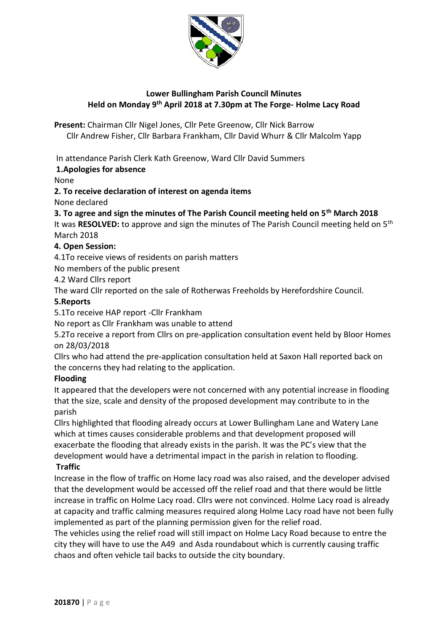

# **Lower Bullingham Parish Council Minutes Held on Monday 9th April 2018 at 7.30pm at The Forge- Holme Lacy Road**

**Present:** Chairman Cllr Nigel Jones, Cllr Pete Greenow, Cllr Nick Barrow Cllr Andrew Fisher, Cllr Barbara Frankham, Cllr David Whurr & Cllr Malcolm Yapp

## In attendance Parish Clerk Kath Greenow, Ward Cllr David Summers

## **1.Apologies for absence**

None

**2. To receive declaration of interest on agenda items**

None declared

## **3. To agree and sign the minutes of The Parish Council meeting held on 5th March 2018**

It was **RESOLVED:** to approve and sign the minutes of The Parish Council meeting held on 5th March 2018

## **4. Open Session:**

4.1To receive views of residents on parish matters

No members of the public present

4.2 Ward Cllrs report

The ward Cllr reported on the sale of Rotherwas Freeholds by Herefordshire Council.

# **5.Reports**

5.1To receive HAP report -Cllr Frankham

No report as Cllr Frankham was unable to attend

5.2To receive a report from Cllrs on pre-application consultation event held by Bloor Homes on 28/03/2018

Cllrs who had attend the pre-application consultation held at Saxon Hall reported back on the concerns they had relating to the application.

## **Flooding**

It appeared that the developers were not concerned with any potential increase in flooding that the size, scale and density of the proposed development may contribute to in the parish

Cllrs highlighted that flooding already occurs at Lower Bullingham Lane and Watery Lane which at times causes considerable problems and that development proposed will exacerbate the flooding that already exists in the parish. It was the PC's view that the development would have a detrimental impact in the parish in relation to flooding.

## **Traffic**

Increase in the flow of traffic on Home lacy road was also raised, and the developer advised that the development would be accessed off the relief road and that there would be little increase in traffic on Holme Lacy road. Cllrs were not convinced. Holme Lacy road is already at capacity and traffic calming measures required along Holme Lacy road have not been fully implemented as part of the planning permission given for the relief road.

The vehicles using the relief road will still impact on Holme Lacy Road because to entre the city they will have to use the A49 and Asda roundabout which is currently causing traffic chaos and often vehicle tail backs to outside the city boundary.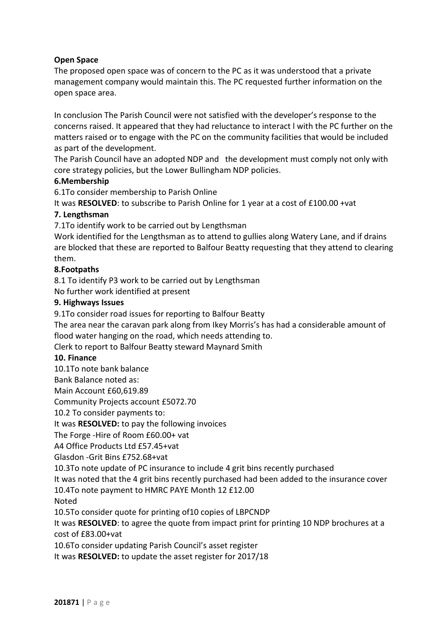## **Open Space**

The proposed open space was of concern to the PC as it was understood that a private management company would maintain this. The PC requested further information on the open space area.

In conclusion The Parish Council were not satisfied with the developer's response to the concerns raised. It appeared that they had reluctance to interact l with the PC further on the matters raised or to engage with the PC on the community facilities that would be included as part of the development.

The Parish Council have an adopted NDP and the development must comply not only with core strategy policies, but the Lower Bullingham NDP policies.

### **6.Membership**

6.1To consider membership to Parish Online

It was **RESOLVED**: to subscribe to Parish Online for 1 year at a cost of £100.00 +vat

### **7. Lengthsman**

7.1To identify work to be carried out by Lengthsman

Work identified for the Lengthsman as to attend to gullies along Watery Lane, and if drains are blocked that these are reported to Balfour Beatty requesting that they attend to clearing them.

#### **8.Footpaths**

8.1 To identify P3 work to be carried out by Lengthsman

No further work identified at present

### **9. Highways Issues**

9.1To consider road issues for reporting to Balfour Beatty

The area near the caravan park along from Ikey Morris's has had a considerable amount of flood water hanging on the road, which needs attending to.

Clerk to report to Balfour Beatty steward Maynard Smith

#### **10. Finance**

10.1To note bank balance

Bank Balance noted as:

Main Account £60,619.89

Community Projects account £5072.70

10.2 To consider payments to:

It was **RESOLVED:** to pay the following invoices

The Forge -Hire of Room £60.00+ vat

A4 Office Products Ltd £57.45+vat

Glasdon -Grit Bins £752.68+vat

10.3To note update of PC insurance to include 4 grit bins recently purchased

It was noted that the 4 grit bins recently purchased had been added to the insurance cover

10.4To note payment to HMRC PAYE Month 12 £12.00

Noted

10.5To consider quote for printing of10 copies of LBPCNDP

It was **RESOLVED**: to agree the quote from impact print for printing 10 NDP brochures at a cost of £83.00+vat

10.6To consider updating Parish Council's asset register

It was **RESOLVED:** to update the asset register for 2017/18